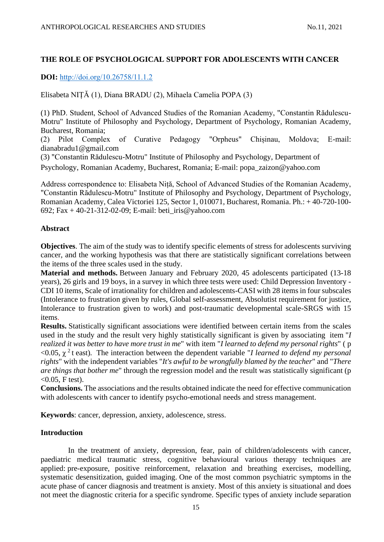# **THE ROLE OF PSYCHOLOGICAL SUPPORT FOR ADOLESCENTS WITH CANCER**

**DOI:** [http://doi.org/10.26758/11.1.2](https://www.journalstudiesanthropology.ro/en/the-role-of-psychological-support-for-adolescents-with-cancer/a160/)

Elisabeta NIȚĂ (1), Diana BRADU (2), Mihaela Camelia POPA (3)

(1) PhD. Student, School of Advanced Studies of the Romanian Academy, "Constantin Rădulescu-Motru" Institute of Philosophy and Psychology, Department of Psychology, Romanian Academy, Bucharest, Romania;

(2) Pilot Complex of Curative Pedagogy "Orpheus" Chișinau, Moldova; E-mail: dianabradu1@gmail.com

(3) "Constantin Rădulescu-Motru" Institute of Philosophy and Psychology, Department of Psychology, Romanian Academy, Bucharest, Romania; E-mail: popa\_zaizon@yahoo.com

Address correspondence to: Elisabeta Niță, School of Advanced Studies of the Romanian Academy, "Constantin Rădulescu-Motru" Institute of Philosophy and Psychology, Department of Psychology, Romanian Academy, Calea Victoriei 125, Sector 1, 010071, Bucharest, Romania. Ph.: + 40-720-100- 692; Fax  $+40-21-312-02-09$ ; E-mail: beti iris@yahoo.com

### **Abstract**

**Objectives**. The aim of the study was to identify specific elements of stress for adolescents surviving cancer, and the working hypothesis was that there are statistically significant correlations between the items of the three scales used in the study.

**Material and methods.** Between January and February 2020, 45 adolescents participated (13-18 years), 26 girls and 19 boys, in a survey in which three tests were used: Child Depression Inventory - CDI 10 items, Scale of irrationality for children and adolescents-CASI with 28 items in four subscales (Intolerance to frustration given by rules, Global self-assessment, Absolutist requirement for justice, Intolerance to frustration given to work) and post-traumatic developmental scale-SRGS with 15 items.

**Results.** Statistically significant associations were identified between certain items from the scales used in the study and the result very highly statistically significant is given by associating item "*I realized it was better to have more trust in me*" with item "*I learned to defend my personal rights*" ( p <0.05, χ 2 t east)*.* The interaction between the dependent variable "*I learned to defend my personal rights*" with the independent variables "*It's awful to be wrongfully blamed by the teacher*" and "*There are things that bother me*" through the regression model and the result was statistically significant (p  $(0.05, F test)$ .

**Conclusions.** The associations and the results obtained indicate the need for effective communication with adolescents with cancer to identify psycho-emotional needs and stress management.

**Keywords**: cancer, depression, anxiety, adolescence, stress.

## **Introduction**

In the treatment of anxiety, depression, fear, pain of children/adolescents with cancer, paediatric medical traumatic stress, cognitive behavioural various therapy techniques are applied: pre-exposure, positive reinforcement, relaxation and breathing exercises, modelling, systematic desensitization, guided imaging. One of the most common psychiatric symptoms in the acute phase of cancer diagnosis and treatment is anxiety. Most of this anxiety is situational and does not meet the diagnostic criteria for a specific syndrome. Specific types of anxiety include separation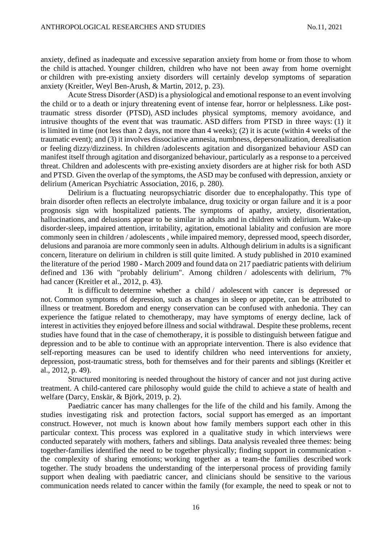anxiety, defined as inadequate and excessive separation anxiety from home or from those to whom the child is attached. Younger children, children who have not been away from home overnight or children with pre-existing anxiety disorders will certainly develop symptoms of separation anxiety (Kreitler, Weyl Ben-Arush, & Martin, 2012, p. 23).

Acute Stress Disorder (ASD) is a physiological and emotional response to an event involving the child or to a death or injury threatening event of intense fear, horror or helplessness. Like posttraumatic stress disorder (PTSD), ASD includes physical symptoms, memory avoidance, and intrusive thoughts of the event that was traumatic. ASD differs from PTSD in three ways: (1) it is limited in time (not less than 2 days, not more than 4 weeks); (2) it is acute (within 4 weeks of the traumatic event); and (3) it involves dissociative amnesia, numbness, depersonalization, derealisation or feeling dizzy/dizziness. In children /adolescents agitation and disorganized behaviour ASD can manifest itself through agitation and disorganized behaviour, particularly as a response to a perceived threat. Children and adolescents with pre-existing anxiety disorders are at higher risk for both ASD and PTSD. Given the overlap of the symptoms, the ASD may be confused with depression, anxiety or delirium (American Psychiatric Association, 2016, p. 280).

Delirium is a fluctuating neuropsychiatric disorder due to encephalopathy. This type of brain disorder often reflects an electrolyte imbalance, drug toxicity or organ failure and it is a poor prognosis sign with hospitalized patients. The symptoms of apathy, anxiety, disorientation, hallucinations, and delusions appear to be similar in adults and in children with delirium. Wake-up disorder-sleep, impaired attention, irritability, agitation, emotional labiality and confusion are more commonly seen in children / adolescents , while impaired memory, depressed mood, speech disorder, delusions and paranoia are more commonly seen in adults. Although delirium in adults is a significant concern, literature on delirium in children is still quite limited. A study published in 2010 examined the literature of the period 1980 - March 2009 and found data on 217 paediatric patients with delirium defined and 136 with "probably delirium". Among children / adolescents with delirium, 7% had cancer (Kreitler et al., 2012, p. 43).

It is difficult to determine whether a child / adolescent with cancer is depressed or not. Common symptoms of depression, such as changes in sleep or appetite, can be attributed to illness or treatment. Boredom and energy conservation can be confused with anhedonia. They can experience the fatigue related to chemotherapy, may have symptoms of energy decline, lack of interest in activities they enjoyed before illness and social withdrawal. Despite these problems, recent studies have found that in the case of chemotherapy, it is possible to distinguish between fatigue and depression and to be able to continue with an appropriate intervention. There is also evidence that self-reporting measures can be used to identify children who need interventions for anxiety, depression, post-traumatic stress, both for themselves and for their parents and siblings (Kreitler et al., 2012, p. 49).

Structured monitoring is needed throughout the history of cancer and not just during active treatment. A child-cantered care philosophy would guide the child to achieve a state of health and welfare (Darcy, Enskär, & Björk, 2019, p. 2).

Paediatric cancer has many challenges for the life of the child and his family. Among the studies investigating risk and protection factors, social support has emerged as an important construct. However, not much is known about how family members support each other in this particular context. This process was explored in a qualitative study in which interviews were conducted separately with mothers, fathers and siblings. Data analysis revealed three themes: being together-families identified the need to be together physically; finding support in communication the complexity of sharing emotions; working together as a team-the families described work together. The study broadens the understanding of the interpersonal process of providing family support when dealing with paediatric cancer, and clinicians should be sensitive to the various communication needs related to cancer within the family (for example, the need to speak or not to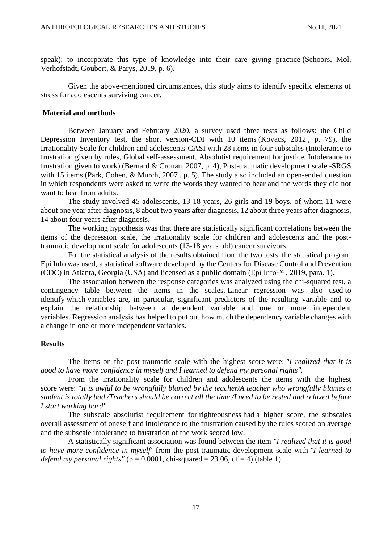speak); to incorporate this type of knowledge into their care giving practice (Schoors, Mol, Verhofstadt, Goubert, & Parys, 2019, p. 6).

Given the above-mentioned circumstances, this study aims to identify specific elements of stress for adolescents surviving cancer.

### **Material and methods**

Between January and February 2020, a survey used three tests as follows: the Child Depression Inventory test, the short version-CDI with 10 items (Kovacs, 2012 , p. 79), the Irrationality Scale for children and adolescents-CASI with 28 items in four subscales (Intolerance to frustration given by rules, Global self-assessment, Absolutist requirement for justice, Intolerance to frustration given to work) (Bernard & Cronan, 2007, p. 4), Post-traumatic development scale -SRGS with 15 items (Park, Cohen, & Murch, 2007 , p. 5). The study also included an open-ended question in which respondents were asked to write the words they wanted to hear and the words they did not want to hear from adults.

The study involved 45 adolescents, 13-18 years, 26 girls and 19 boys, of whom 11 were about one year after diagnosis, 8 about two years after diagnosis, 12 about three years after diagnosis, 14 about four years after diagnosis.

The working hypothesis was that there are statistically significant correlations between the items of the depression scale, the irrationality scale for children and adolescents and the posttraumatic development scale for adolescents (13-18 years old) cancer survivors.

For the statistical analysis of the results obtained from the two tests, the statistical program Epi Info was used, a statistical software developed by the Centers for Disease Control and Prevention (CDC) in Atlanta, Georgia (USA) and licensed as a public domain (Epi Info<sup>TM</sup>, 2019, para. 1).

The association between the response categories was analyzed using the chi-squared test, a contingency table between the items in the scales. Linear regression was also used to identify which variables are, in particular, significant predictors of the resulting variable and to explain the relationship between a dependent variable and one or more independent variables. Regression analysis has helped to put out how much the dependency variable changes with a change in one or more independent variables.

### **Results**

The items on the post-traumatic scale with the highest score were: *"I realized that it is good to have more confidence in myself and I learned to defend my personal rights".*

From the irrationality scale for children and adolescents the items with the highest score were: *"It is awful to be wrongfully blamed by the teacher/A teacher who wrongfully blames a student is totally bad /Teachers should be correct all the time /I need to be rested and relaxed before I start working hard".*

The subscale absolutist requirement for righteousness had a higher score, the subscales overall assessment of oneself and intolerance to the frustration caused by the rules scored on average and the subscale intolerance to frustration of the work scored low.

A statistically significant association was found between the item *"I realized that it is good to have more confidence in myself"* from the post-traumatic development scale with *"I learned to defend my personal rights"* ( $p = 0.0001$ , chi-squared  $= 23.06$ , df  $= 4$ ) (table 1).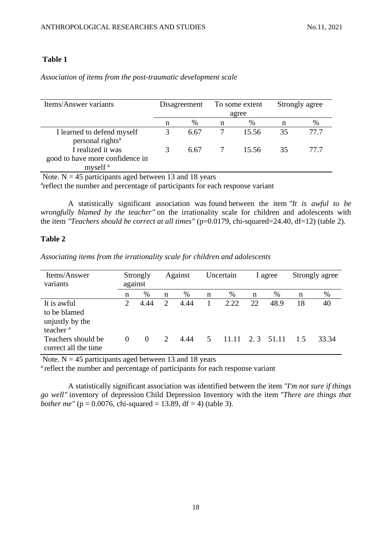## **Table 1**

*Association of items from the post-traumatic development scale*

| Items/Answer variants                                                       | Disagreement |      | To some extent |       | Strongly agree |      |
|-----------------------------------------------------------------------------|--------------|------|----------------|-------|----------------|------|
|                                                                             |              |      |                | agree |                |      |
|                                                                             | n            | %    | n              | $\%$  | n              | $\%$ |
| I learned to defend myself<br>personal rights <sup>a</sup>                  | 3            | 6.67 |                | 15.56 | 35             | 77.7 |
| I realized it was<br>good to have more confidence in<br>myself <sup>a</sup> |              | 6.67 |                | 15.56 | 35             | 77.7 |

Note.  $N = 45$  participants aged between 13 and 18 years

<sup>a</sup>reflect the number and percentage of participants for each response variant

A statistically significant association was found between the item *"It is awful to be wrongfully blamed by the teacher"* on the irrationality scale for children and adolescents with the item *"Teachers should be correct at all times"* (p=0.0179, chi-squared=24.40, df=12) (table 2).

## **Table 2**

*Associating items from the irrationality scale for children and adolescents*

| Items/Answer<br>variants                                                                     | Strongly<br>against |                  |                            | Against      | Uncertain |               | I agree    |               | Strongly agree |             |
|----------------------------------------------------------------------------------------------|---------------------|------------------|----------------------------|--------------|-----------|---------------|------------|---------------|----------------|-------------|
|                                                                                              | n                   | %                | n                          | %            | n         | $\%$          | n          | %             | n              | $\%$        |
| It is awful<br>to be blamed<br>unjustly by the<br>teacher <sup>a</sup><br>Teachers should be | 2                   | 4.44<br>$\Omega$ | 2<br>$\mathcal{D}_{\cdot}$ | 4.44<br>4.44 | 5         | 2.22<br>11.11 | 22.<br>2.3 | 48.9<br>51.11 | 18<br>1.5      | 40<br>33.34 |
| correct all the time                                                                         | $\theta$            |                  |                            |              |           |               |            |               |                |             |

Note.  $N = 45$  participants aged between 13 and 18 years

<sup>a</sup> reflect the number and percentage of participants for each response variant

A statistically significant association was identified between the item *"I'm not sure if things go well"* inventory of depression Child Depression Inventory with the item *"There are things that bother me"* ( $p = 0.0076$ , chi-squared = 13.89, df = 4) (table 3).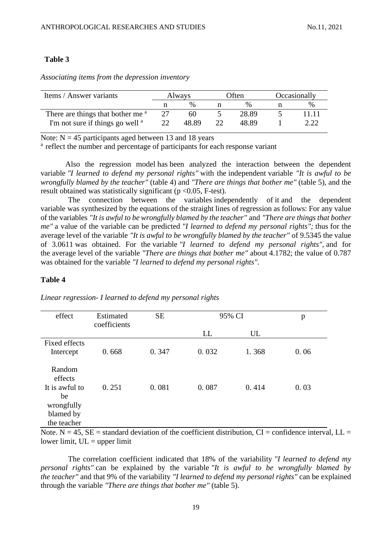#### **Table 3**

*Associating items from the depression inventory*

| Items / Answer variants                      | Always |       | Often |                 | Occasionally |      |
|----------------------------------------------|--------|-------|-------|-----------------|--------------|------|
|                                              |        |       |       | $\mathcal{O}_0$ |              | $\%$ |
| There are things that bother me <sup>a</sup> |        | 60    |       | 28.89           |              |      |
| I'm not sure if things go well <sup>a</sup>  |        | 48.89 |       | 48.89           |              |      |

Note:  $N = 45$  participants aged between 13 and 18 years

<sup>a</sup> reflect the number and percentage of participants for each response variant

Also the regression model has been analyzed the interaction between the dependent variable *"I learned to defend my personal rights"* with the independent variable *"It is awful to be wrongfully blamed by the teacher"* (table 4) and *"There are things that bother me"* (table 5), and the result obtained was statistically significant ( $p < 0.05$ , F-test).

The connection between the variables independently of it and the dependent variable was synthesized by the equations of the straight lines of regression as follows: For any value of the variables *"It is awful to be wrongfully blamed by the teacher"* and *"There are things that bother me"* a value of the variable can be predicted *"I learned to defend my personal rights";* thus for the average level of the variable *"It is awful to be wrongfully blamed by the teacher"* of 9.5345 the value of 3.0611 was obtained. For the variable *"I learned to defend my personal rights",* and for the average level of the variable *"There are things that bother me"* about 4.1782; the value of 0.787 was obtained for the variable *"I learned to defend my personal rights".*

#### **Table 4**

| effect                                                                              | <b>SE</b><br>95% CI<br>Estimated |       |       |       | p    |
|-------------------------------------------------------------------------------------|----------------------------------|-------|-------|-------|------|
|                                                                                     | coefficients                     |       | LL    | UL    |      |
| <b>Fixed effects</b><br>Intercept                                                   | 0.668                            | 0.347 | 0.032 | 1.368 | 0.06 |
| Random<br>effects<br>It is awful to<br>be<br>wrongfully<br>blamed by<br>the teacher | 0.251                            | 0.081 | 0.087 | 0.414 | 0.03 |

*Linear regression- I learned to defend my personal rights*

Note. N = 45,  $SE =$  standard deviation of the coefficient distribution,  $CI =$  confidence interval,  $LL =$ lower limit,  $UL = upper$  limit

The correlation coefficient indicated that 18% of the variability *"I learned to defend my personal rights"* can be explained by the variable *"It is awful to be wrongfully blamed by the teacher"* and that 9% of the variability *"I learned to defend my personal rights"* can be explained through the variable *"There are things that bother me"* (table 5).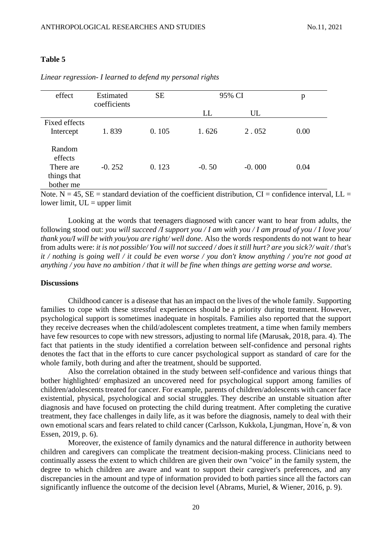### **Table 5**

| effect                                                     | Estimated<br>coefficients | <b>SE</b> | 95% CI  |          | p    |
|------------------------------------------------------------|---------------------------|-----------|---------|----------|------|
|                                                            |                           |           | LL      | UL       |      |
| <b>Fixed effects</b><br>Intercept                          | 1.839                     | 0.105     | 1.626   | 2.052    | 0.00 |
| Random<br>effects<br>There are<br>things that<br>bother me | $-0.252$                  | 0.123     | $-0.50$ | $-0.000$ | 0.04 |

*Linear regression- I learned to defend my personal rights*

Note. N = 45, SE = standard deviation of the coefficient distribution, CI = confidence interval, LL = lower limit,  $UL = upper$  limit

Looking at the words that teenagers diagnosed with cancer want to hear from adults, the following stood out: *you will succeed /I support you / I am with you / I am proud of you / I love you/ thank you/I will be with you/you are right/ well done*. Also the words respondents do not want to hear from adults were: *it is not possible/ You will not succeed / does it still hurt? are you sick?/ wait / that's it / nothing is going well / it could be even worse / you don't know anything / you're not good at anything / you have no ambition / that it will be fine when things are getting worse and worse.*

### **Discussions**

Childhood cancer is a disease that has an impact on the lives of the whole family. Supporting families to cope with these stressful experiences should be a priority during treatment. However, psychological support is sometimes inadequate in hospitals. Families also reported that the support they receive decreases when the child/adolescent completes treatment, a time when family members have few resources to cope with new stressors, adjusting to normal life (Marusak, 2018, para. 4). The fact that patients in the study identified a correlation between self-confidence and personal rights denotes the fact that in the efforts to cure cancer psychological support as standard of care for the whole family, both during and after the treatment, should be supported.

Also the correlation obtained in the study between self-confidence and various things that bother highlighted/ emphasized an uncovered need for psychological support among families of children/adolescents treated for cancer. For example, parents of children/adolescents with cancer face existential, physical, psychological and social struggles. They describe an unstable situation after diagnosis and have focused on protecting the child during treatment. After completing the curative treatment, they face challenges in daily life, as it was before the diagnosis, namely to deal with their own emotional scars and fears related to child cancer (Carlsson, Kukkola, Ljungman, Hove´n, & von Essen, 2019, p. 6).

Moreover, the existence of family dynamics and the natural difference in authority between children and caregivers can complicate the treatment decision-making process. Clinicians need to continually assess the extent to which children are given their own "voice" in the family system, the degree to which children are aware and want to support their caregiver's preferences, and any discrepancies in the amount and type of information provided to both parties since all the factors can significantly influence the outcome of the decision level (Abrams, Muriel, & Wiener, 2016, p. 9).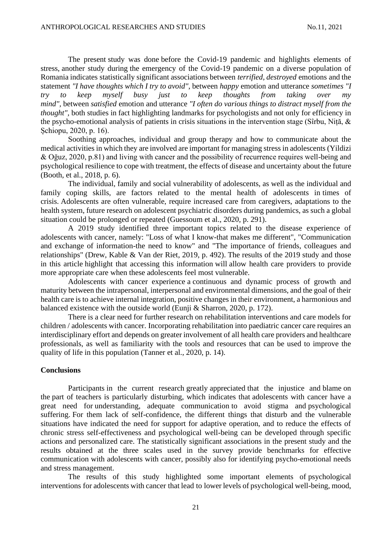The present study was done before the Covid-19 pandemic and highlights elements of stress, another study during the emergency of the Covid-19 pandemic on a diverse population of Romania indicates statistically significant associations between *terrified, destroyed* emotions and the statement *"I have thoughts which I try to avoid"*, between *happy* emotion and utterance *sometimes "I try to keep myself busy just to keep thoughts from taking over my mind",* between *satisfied* emotion and utterance *"I often do various things to distract myself from the thought",* both studies in fact highlighting landmarks for psychologists and not only for efficiency in the psycho-emotional analysis of patients in crisis situations in the intervention stage (Sîrbu, Niță, & Șchiopu, 2020, p. 16).

Soothing approaches, individual and group therapy and how to communicate about the medical activities in which they are involved are important for managing stress in adolescents (Yildizi & Oğuz, 2020, p.81) and living with cancer and the possibility of recurrence requires well-being and psychological resilience to cope with treatment, the effects of disease and uncertainty about the future (Booth, et al., 2018, p. 6).

The individual, family and social vulnerability of adolescents, as well as the individual and family coping skills, are factors related to the mental health of adolescents in times of crisis. Adolescents are often vulnerable, require increased care from caregivers, adaptations to the health system, future research on adolescent psychiatric disorders during pandemics, as such a global situation could be prolonged or repeated (Guessoum et al., 2020, p. 291).

A 2019 study identified three important topics related to the disease experience of adolescents with cancer, namely: "Loss of what I know-that makes me different", "Communication and exchange of information-the need to know" and "The importance of friends, colleagues and relationships" (Drew, Kable & Van der Riet, 2019, p. 492). The results of the 2019 study and those in this article highlight that accessing this information will allow health care providers to provide more appropriate care when these adolescents feel most vulnerable.

Adolescents with cancer experience a continuous and dynamic process of growth and maturity between the intrapersonal, interpersonal and environmental dimensions, and the goal of their health care is to achieve internal integration, positive changes in their environment, a harmonious and balanced existence with the outside world (Eunji & Sharron, 2020, p. 172).

There is a clear need for further research on rehabilitation interventions and care models for children / adolescents with cancer. Incorporating rehabilitation into paediatric cancer care requires an interdisciplinary effort and depends on greater involvement of all health care providers and healthcare professionals, as well as familiarity with the tools and resources that can be used to improve the quality of life in this population (Tanner et al., 2020, p. 14).

## **Conclusions**

Participants in the current research greatly appreciated that the injustice and blame on the part of teachers is particularly disturbing, which indicates that adolescents with cancer have a great need for understanding, adequate communication to avoid stigma and psychological suffering. For them lack of self-confidence, the different things that disturb and the vulnerable situations have indicated the need for support for adaptive operation, and to reduce the effects of chronic stress self-effectiveness and psychological well-being can be developed through specific actions and personalized care. The statistically significant associations in the present study and the results obtained at the three scales used in the survey provide benchmarks for effective communication with adolescents with cancer, possibly also for identifying psycho-emotional needs and stress management.

The results of this study highlighted some important elements of psychological interventions for adolescents with cancer that lead to lower levels of psychological well-being, mood,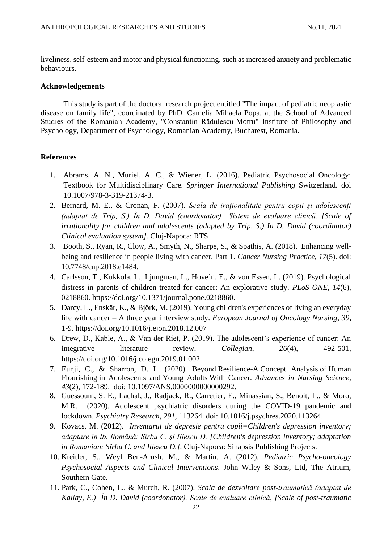liveliness, self-esteem and motor and physical functioning, such as increased anxiety and problematic behaviours.

#### **Acknowledgements**

This study is part of the doctoral research project entitled "The impact of pediatric neoplastic disease on family life", coordinated by PhD. Camelia Mihaela Popa, at the School of Advanced Studies of the Romanian Academy, "Constantin Rădulescu-Motru" Institute of Philosophy and Psychology, Department of Psychology, Romanian Academy, Bucharest, Romania.

#### **References**

- 1. Abrams, A. N., Muriel, A. C., & Wiener, L. (2016). Pediatric Psychosocial Oncology: Textbook for Multidisciplinary Care. *Springer International Publishing* Switzerland. doi 10.1007/978-3-319-21374-3.
- 2. Bernard, M. E., & Cronan, F. (2007). *Scala de iraționalitate pentru copii și adolescenți (adaptat de Trip, S.) În D. David (coordonator) Sistem de evaluare clinică*. *[Scale of irrationality for children and adolescents (adapted by Trip, S.) In D. David (coordinator) Clinical evaluation system].* Cluj-Napoca: RTS
- 3. Booth, S., Ryan, R., Clow, A., Smyth, N., Sharpe, S., & Spathis, A. (2018). Enhancing wellbeing and resilience in people living with cancer. Part 1. *Cancer Nursing Practice*, *17*(5). doi: 10.7748/cnp.2018.e1484.
- 4. Carlsson, T., Kukkola, L., Ljungman, L., Hove´n, E., & von Essen, L. (2019). Psychological distress in parents of children treated for cancer: An explorative study. *PLoS ONE, 14*(6), 0218860. [https://doi.org/10.1371/journal.pone.0218860.](https://doi.org/10.1371/journal.pone.0218860)
- 5. Darcy, L., Enskär, K., & Björk, M. (2019). Young children's experiences of living an everyday life with cancer – A three year interview study. *European Journal of Oncology Nursing*, *39*, 1-9.<https://doi.org/10.1016/j.ejon.2018.12.007>
- 6. Drew, D., Kable, A., & Van der Riet, P. (2019). The adolescent's experience of cancer: An integrative literature review, *Collegian*, *26*(4), 492-501, <https://doi.org/10.1016/j.colegn.2019.01.002>
- 7. Eunji, C., & Sharron, D. L. (2020). Beyond Resilience-A Concept Analysis of Human Flourishing in Adolescents and Young Adults With Cancer. *Advances in Nursing Science*, *43*[\(2\), 172-189.](https://journals.lww.com/advancesinnursingscience/toc/2020/04000) doi: 10.1097/ANS.0000000000000292.
- 8. Guessoum, S. E., Lachal, J., Radjack, R., Carretier, E., Minassian, S., Benoit, L., & Moro, M.R. (2020). Adolescent psychiatric disorders during the COVID-19 pandemic and lockdown. *Psychiatry Research*, *291*, 113264. doi: 10.1016/j.psychres.2020.113264.
- 9. Kovacs, M. (2012). *Inventarul de depresie pentru copii=Children's depression inventory; adaptare în lb. Română: Sîrbu C. și Iliescu D. [Children's depression inventory; adaptation in Romanian: Sîrbu C. and Iliescu D.]*. Cluj-Napoca: Sinapsis Publishing Projects.
- 10. Kreitler, S., Weyl Ben-Arush, M., & Martin, A. (2012). *Pediatric Psycho-oncology Psychosocial Aspects and Clinical Interventions*. John Wiley & Sons, Ltd, The Atrium, Southern Gate.
- 11. Park, C., Cohen, L., & Murch, R. (2007). *Scala de dezvoltare post-traumatică (adaptat de Kallay, E.) În D. David (coordonator). Scale de evaluare clinică*, *[Scale of post-traumatic*